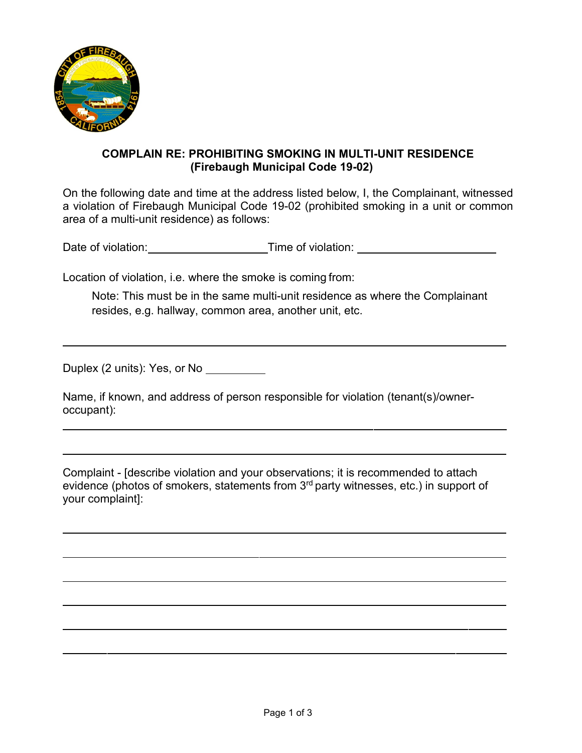

## **COMPLAIN RE: PROHIBITING SMOKING IN MULTI-UNIT RESIDENCE (Firebaugh Municipal Code 19-02)**

On the following date and time at the address listed below, I, the Complainant, witnessed a violation of Firebaugh Municipal Code 19-02 (prohibited smoking in a unit or common area of a multi-unit residence) as follows:

Date of violation: Time of violation:

Location of violation, i.e. where the smoke is coming from:

Note: This must be in the same multi-unit residence as where the Complainant resides, e.g. hallway, common area, another unit, etc.

Duplex (2 units): Yes, or No

Name, if known, and address of person responsible for violation (tenant(s)/owneroccupant):

Complaint - [describe violation and your observations; it is recommended to attach evidence (photos of smokers, statements from 3rd party witnesses, etc.) in support of your complaint]: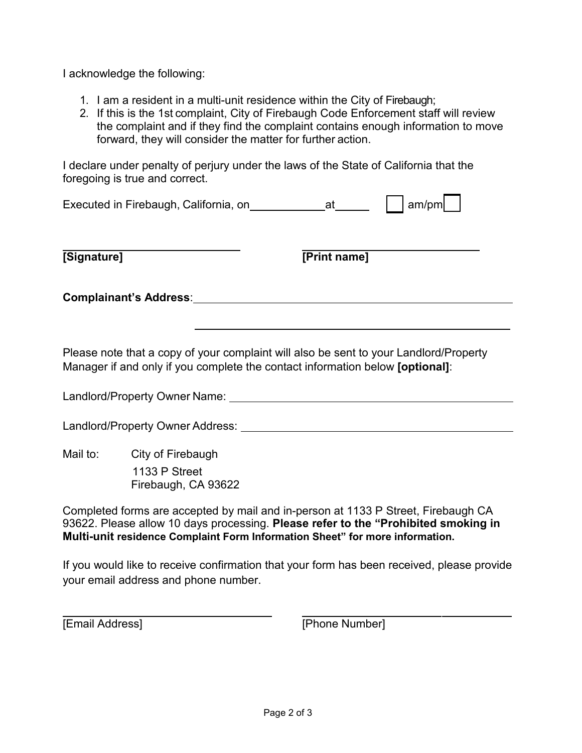I acknowledge the following:

- 1. I am a resident in a multi-unit residence within the City of Firebaugh;
- 2. If this is the 1st complaint, City of Firebaugh Code Enforcement staff will review the complaint and if they find the complaint contains enough information to move forward, they will consider the matter for further action.

I declare under penalty of perjury under the laws of the State of California that the foregoing is true and correct.

| Executed in Firebaugh, California, on |  | $\vert$ am/pm |  |
|---------------------------------------|--|---------------|--|

| <b>Signature1</b> |
|-------------------|
|                   |

**[Print name]** 

**Complainant's Address**:

Please note that a copy of your complaint will also be sent to your Landlord/Property Manager if and only if you complete the contact information below **[optional]**:

Landlord/Property Owner Name:

Landlord/Property Owner Address: University of the University of the University of the University of the University of the University of the University of the University of the University of the University of the Universit

Mail to: City of Firebaugh 1133 P Street Firebaugh, CA 93622

Completed forms are accepted by mail and in-person at 1133 P Street, Firebaugh CA 93622. Please allow 10 days processing. **Please refer to the "Prohibited smoking in Multi-unit residence Complaint Form Information Sheet" for more information.**

If you would like to receive confirmation that your form has been received, please provide your email address and phone number.

[Email Address] [Phone Number]